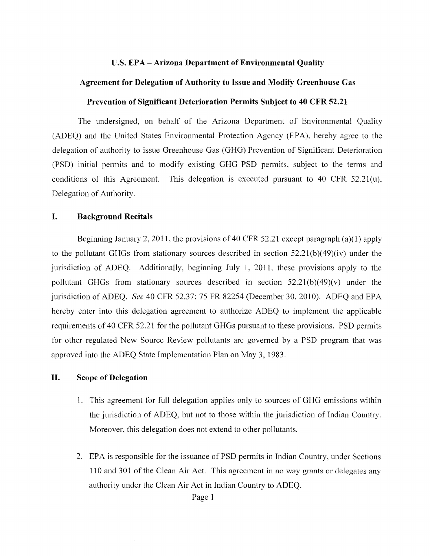#### **u.S. EPA - Arizona Department of Environmental Quality**

### **Agreement for Delegation of Authority to Issue and Modify Greenhouse Gas**

### **Prevention of Significant Deterioration Permits Subject to 40 CFR 52.21**

The undersigned, on behalf of the Arizona Department of Environmental Quality (ADEQ) and the United States Environmental Protection Agency (EPA), hereby agree to the delegation of authority to issue Greenhouse Gas (GHG) Prevention of Significant Deterioration (PSD) initial permits and to modify existing GHG PSD permits, subject to the terms and conditions of this Agreement. This delegation is executed pursuant to 40 CFR 52.21(u), Delegation of Authority.

### **I. Background Recitals**

Beginning January 2, 2011, the provisions of 40 CFR 52.21 except paragraph (a)(1) apply to the pollutant GHGs from stationary sources described in section  $52.21(b)(49)(iv)$  under the jurisdiction of ADEQ. Additionally, beginning July 1, 2011, these provisions apply to the pollutant GHGs from stationary sources described in section  $52.21(b)(49)(v)$  under the jurisdiction of ADEQ. *See* 40 CFR 52.37; 75 FR 82254 (December 30, 2010). ADEQ and EPA hereby enter into this delegation agreement to authorize ADEQ to implement the applicable requirements of 40 CFR 52.21 for the pollutant GHGs pursuant to these provisions. PSD permits for other regulated New Source Review pollutants are govemed by a PSD program that was approved into the ADEQ State Implementation Plan on May 3, 1983.

### **II. Scope of Delegation**

- 1. This agreement for full delegation applies only to sources of GHG emissions within the jurisdiction of ADEQ, but not to those within the jurisdiction of Indian Country. Moreover, this delegation does not extend to other pollutants.
- 2. EPA is responsible for the issuance of PSD permits in Indian Country, under Sections 110 and 301 of the Clean Air Act. This agreement in no way grants or delegates any authority under the Clean Air Act in Indian Country to ADEQ.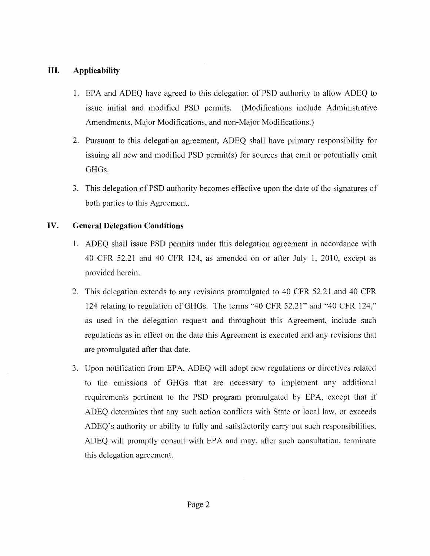## **III. Applicability**

- 1. EPA and ADEQ have agreed to this delegation of PSD authority to allow ADEQ to issue initial and modified PSD permits. (Modifications include Administrative Amendments, Major Modifications, and non-Major Modifications.)
- 2. Pursuant to this delegation agreement, ADEQ shall have primary responsibility for issuing all new and modified PSD permit(s) for sources that emit or potentially emit GHGs.
- 3. This delegation of PSD authority becomes effective upon the date of the signatures of both parties to this Agreement.

## **IV. General Delegation Conditions**

- 1. ADEQ shall issue PSD permits under this delegation agreement in accordance with 40 CFR 52.21 and 40 CFR 124, as amended on or after July **1,** 2010, except as provided herein.
- 2. This delegation extends to any revisions promulgated to 40 CFR 52.21 and 40 CFR 124 relating to regulation of GHGs. The terms "40 CFR 52.21" and "40 CFR 124," as used in the delegation request and throughout this Agreement, include such regulations as in effect on the date this Agreement is executed and any revisions that are promulgated after that date.
- 3. Upon notification from EPA, ADEQ will adopt new regulations or directives related to the emissions of GHGs that are necessary to implement any additional requirements pertinent to the PSD program promulgated by EPA, except that if ADEQ determines that any such action conflicts with State or local law, or exceeds ADEQ's authority or ability to fully and satisfactorily carry out such responsibilities, ADEQ will promptly consult with EPA and may, after such consultation, terminate this delegation agreement.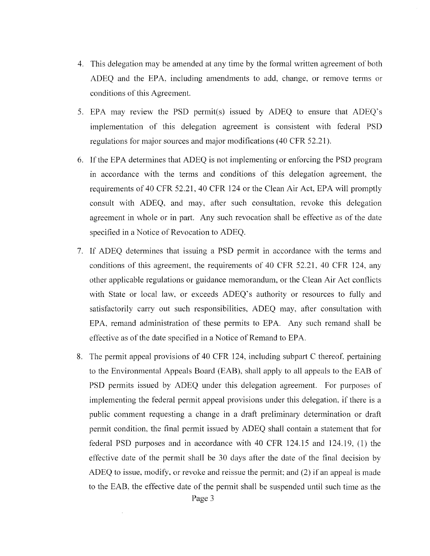- 4. This delegation may be amended at any time by the formal written agreement of both ADEQ and the EPA. including amendments to add, change, or remove terms or conditions of this Agreement.
- 5. EPA may review the PSD permit(s) issued by ADEQ to ensure that ADEQ's implementation of this delegation agreement is consistent with federal PSD regulations for major sources and major modifications (40 CFR 52.21).
- 6. If the EPA determines that ADEQ is not implementing or enforcing the PSD program in accordance with the terms and conditions of this delegation agreement, the requirements of 40 CFR 52.21, 40 CFR 124 or the Clean Air Act, EPA will promptly consult with ADEQ, and may, after such consultation, revoke this delegation agreement in whole or in part. Any such revocation shall be effective as of the date specified in a Notice of Revocation to ADEQ.
- 7. If ADEQ determines that issuing a PSD permit in accordance with the terms and conditions of this agreement, the requirements of 40 CFR 52.21, 40 CFR 124, any other applicable regulations or guidance memorandum, or the Clean Air Act conflicts with State or local law, or exceeds ADEQ's authority or resources to fully and satisfactorily carry out such responsibilities, ADEQ may, after consultation with EPA, remand administration of these pennits to EPA. Any such remand shall be effective as of the date specified in a Notice of Remand to EPA.
- 8. The permit appeal provisions of 40 CFR 124, including subpart C thereof, pertaining to the Environmental Appeals Board (EAB), shall apply to all appeals to the EAB of PSD permits issued by ADEQ under this delegation agreement. For purposes of implementing the federal permit appeal provisions under this delegation, if there is a public comment requesting a change in a draft preliminary determination or draft permit condition, the final permit issued by ADEQ shall contain a statement that for federal PSD purposes and in accordance with 40 CFR 124.15 and 124.19, (1) the effective date of the permit shall be 30 days after the date of the final decision by ADEQ to issue, modify, or revoke and reissue the pennit; and (2) if an appeal is made to the EAS, the effective date of the permit shall be suspended until such time as the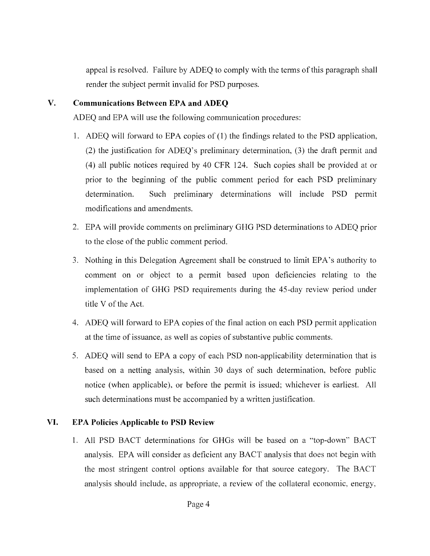appeal is resolved. Failure by ADEQ to comply with the terms of this paragraph shall render the subject permit invalid for PSD purposes.

## **V. Communications Between EPA and ADEQ**

ADEQ and EPA will use the following communication procedures:

- 1. ADEQ will forward to EPA copies of  $(1)$  the findings related to the PSD application, (2) the justification for ADEQ's preliminary determination, (3) the draft permit and (4) all public notices required by 40 CFR 124. Such copies shall be provided at or prior to the beginning of the public comment period for each PSD preliminary determination. Such preliminary determinations will include PSD permit modifications and amendments.
- 2. EPA will provide comments on preliminary GHG PSD determinations to ADEQ prior to the close of the public comment period.
- 3. Nothing in this Delegation Agreement shall be construed to limit EPA's authority to comment on or object to a permit based upon deficiencies relating to the implementation of GHG PSD requirements during the 45-day review period under title V of the Act.
- 4. ADEQ will forward to EPA copies of the final action on each PSD permit application at the time of issuance, as well as copies of substantive public comments.
- 5. ADEQ will send to EPA a copy of each PSD non-applicability determination that is based on a netting analysis, within 30 days of such determination, before public notice (when applicable), or before the permit is issued; whichever is earliest. All such determinations must be accompanied by a written justification.

## **VI. EPA Policies Applicable to PSD Review**

1. All PSD BACT determinations for GHGs will be based on a "top-down" BACT analysis. EPA will consider as deficient any BACT analysis that does not begin with the most stringent control options available for that source category. The BACT analysis should include, as appropriate, a review of the collateral economic, energy.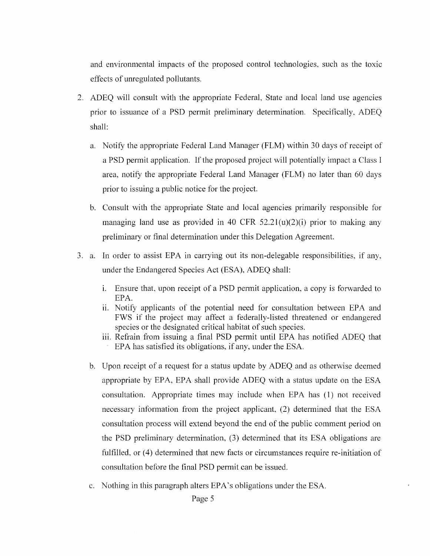and environmental impacts of the proposed control technologies, such as the toxic effects of unregulated pollutants.

- 2. ADEQ will consult with the appropriate Federal, State and local land use agencies prior to issuance of a PSD permit preliminary determination. Specifically, ADEQ shall:
	- a. Notify the appropriate Federal Land Manager (FLM) within 30 days of receipt of a PSD permit application. If the proposed project will potentially impact a Class I area, notify the appropriate Federal Land Manager (FLM) no later than 60 days prior to issuing a public notice for the project.
	- b. Consult with the appropriate State and local agencies primarily responsible for managing land use as provided in 40 CFR  $52.21(u)(2)(i)$  prior to making any preliminary or final determination under this Delegation Agreement.
- 3. a. In order to assist EPA in carrying out its non-delegable responsibilities, if any, under the Endangered Species Act (ESA), ADEQ shall:
	- 1. Ensure that, upon receipt of a PSD permit application, a copy is forwarded to EPA.
	- ii. Notify applicants of the potential need for consultation between EPA and FWS if the project may affect a federally-listed threatened or endangered species or the designated critical habitat of such species.
	- iii. Refrain from issuing a final PSD permit until EPA has notified ADEQ that EPA has satisfied its obligations, if any, under the ESA.
	- b. Upon receipt of a request for a status update by ADEQ and as otherwise deemed appropriate by EPA, EPA shall provide ADEQ with a status update on the ESA consultation. Appropriate times may include when EPA has (1) not received necessary information from the project applicant, (2) determined that the ESA consultation process will extend beyond the end of the public comment period on the PSD preliminary determination, (3) detennined that its ESA obligations are fulfilled, or (4) determined that new facts or circumstances require re-initiation of consultation before the final PSD permit can be issued.
	- c. Nothing in this paragraph alters EPA's obligations under the ESA.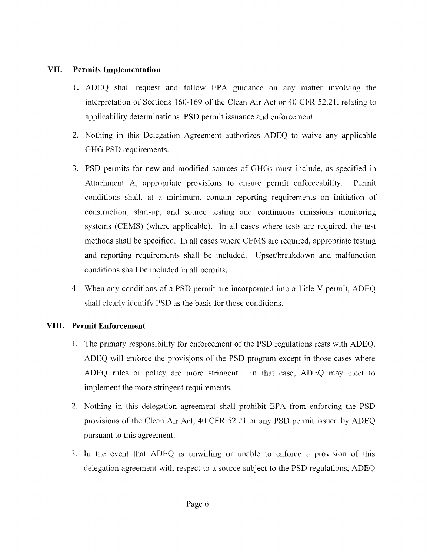## **VII. Permits Implementation**

- 1. ADEQ shall request and follow EPA guidance on any matter involving the interpretation of Sections 160-169 of the Clean Air Act or 40 CFR 52.21. relating to applicability determinations. PSD permit issuance and enforcement.
- 2. Nothing in this Delegation Agreement authorizes ADEQ to waive any applicable GHG PSD requirements.
- 3. PSD permits for new and modified sources of GHGs must include, as specified in Attachment A, appropriate provisions to ensure permit enforceability. Permit conditions shall, at a minimum, contain reporting requirements on initiation of construction, start-up. and source testing and continuous emissions monitoring systems (CEMS) (where applicable). In all cases where tests are required. the test methods shall be specified. In all cases where CEMS are required, appropriate testing and reporting requirements shall be included. Upset/breakdown and malfunction conditions shall be included in all pennits.
- 4. When any conditions of a PSD permit are incorporated into a Title V permit, ADEQ shall clearly identify PSD as the basis for those conditions.

# **VIII. Permit Enforcement**

- 1. The primary responsibility for enforcement of the PSD regulations rests with ADEQ. ADEQ will enforce the provisions of the PSD program except in those cases where ADEQ rules or policy are more stringent. In that case, ADEQ may elect to implement the more stringent requirements.
- 2. Nothing in this delegation agreement shall prohibit EPA from enforcing the PSD provisions of the Clean Air Act, 40 CFR 52.21 or any PSD permit issued by ADEQ pursuant to this agreement.
- 3. In the event that ADEQ is unwilling or unable to enforce a provision of this delegation agreement with respect to a source subject to the PSD regulations, ADEQ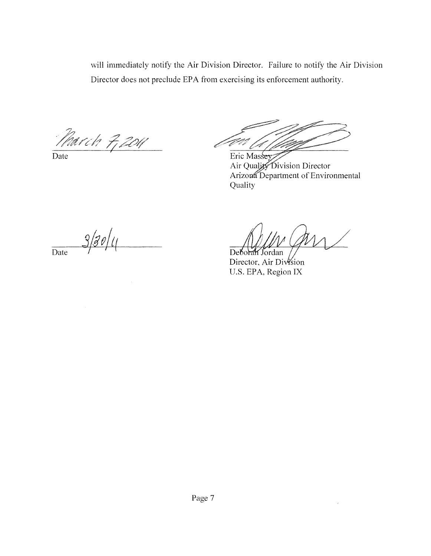will immediately notify the Air Division Director. Failure to notify the Air Division Director does not preclude EPA from exercising its enforcement authority.

March 7, 2011

Eric Massey

Air Quality Division Director Arizona Department of Environmental Quality

 $3/30/1$ Date

 $\bar{\alpha}$ 

Deborah Jordan Director, Air Division U.S. EPA, Region IX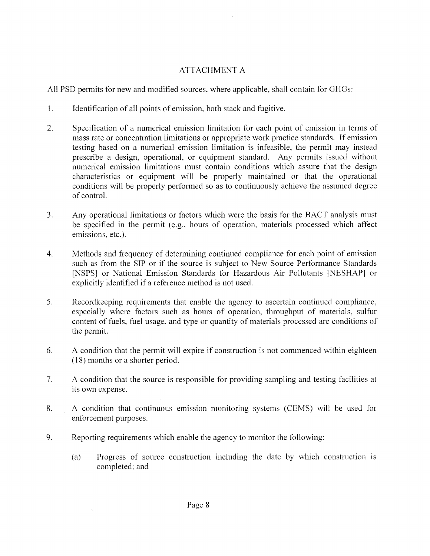# ATTACHMENT A

All PSD pennits for new and modified sources, where applicable, shall contain for GHGs:

- 1. Identification of all points of emission, both stack and fugitive.
- 2. Specification of a numerical emission limitation for each point of emission in terms of mass rate or concentration limitations or appropriate work practice standards. If emission testing based on a numerical emission limitation is infeasible, the permit may instead prescribe a design, operational, or equipment standard. Any pennits issued without numerical emission limitations must contain conditions which assure that the design characteristics or equipment will be properly maintained or that the operational conditions will be properly performed so as to continuously achieve the assumed degree of controL
- 3. Any operational limitations or factors which were the basis for the BACT analysis must be specified in the permit (e.g., hours of operation, materials processed which affect emissions, etc.).
- 4. Methods and frequency of determining continued compliance for each point of emission such as from the SIP or if the source is subject to New Source Performance Standards [NSPS] or National Emission Standards for Hazardous Air Pollutants [NESHAP] or explicitly identified if a reference method is not used.
- 5. Recordkeeping requirements that enable the agency to ascertain continued compliance. especially where factors such as hours of operation, throughput of materials. sulfur content of fuels, fuel usage, and type or quantity of materials processed are conditions of the permit.
- 6. A condition that the pennit will expire if construction is not commenced within eighteen (18) months or a shorter period.
- 7. A condition that the source is responsible for providing sampling and testing facilities at its own expense.
- 8. A condition that continuous emission monitoring systems (CEMS) will be used for enforcement purposes.
- 9. Reporting requirements which enable the agency to monitor the following:
	- (a) Progress of source construction including the date by which construction is completed; and